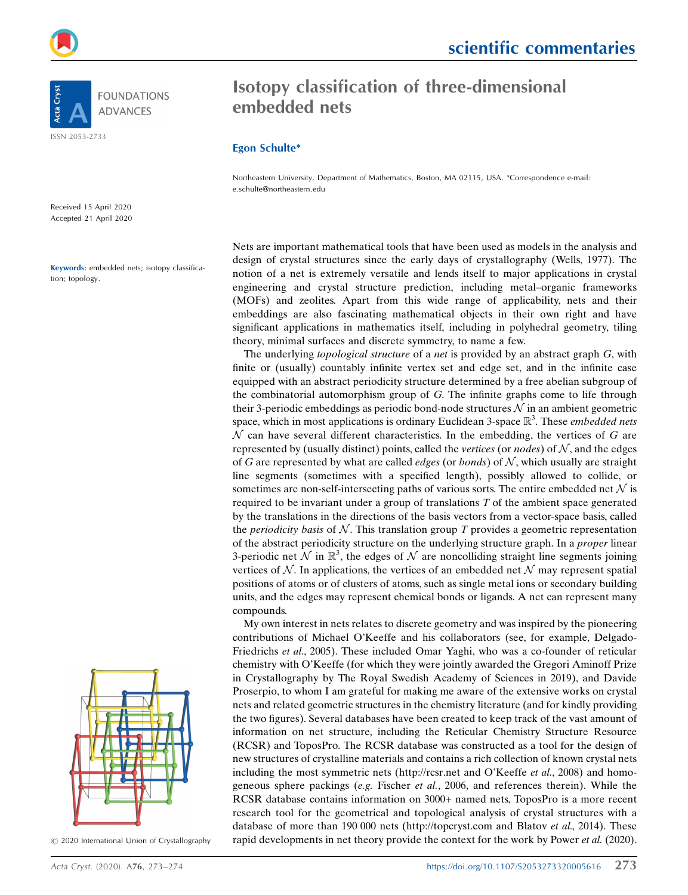



scientific commentaries

# Isotopy classification of three-dimensional embedded nets

### Egon Schulte\*

Northeastern University, Department of Mathematics, Boston, MA 02115, USA. \*Correspondence e-mail: e.schulte@northeastern.edu

Nets are important mathematical tools that have been used as models in the analysis and design of crystal structures since the early days of crystallography (Wells, 1977). The notion of a net is extremely versatile and lends itself to major applications in crystal engineering and crystal structure prediction, including metal–organic frameworks (MOFs) and zeolites. Apart from this wide range of applicability, nets and their embeddings are also fascinating mathematical objects in their own right and have significant applications in mathematics itself, including in polyhedral geometry, tiling theory, minimal surfaces and discrete symmetry, to name a few.

The underlying *topological structure* of a *net* is provided by an abstract graph  $G$ , with finite or (usually) countably infinite vertex set and edge set, and in the infinite case equipped with an abstract periodicity structure determined by a free abelian subgroup of the combinatorial automorphism group of G. The infinite graphs come to life through their 3-periodic embeddings as periodic bond-node structures  $\mathcal N$  in an ambient geometric space, which in most applications is ordinary Euclidean 3-space  $\mathbb{R}^3$ . These *embedded nets*  $\mathcal{N}$  can have several different characteristics. In the embedding, the vertices of G are  $\mathcal N$  can have several different characteristics. In the embedding, the vertices of G are represented by (usually distinct) points, called the *vertices* (or *nodes*) of  $N$ , and the edges of G are represented by what are called *edges* (or *bonds*) of  $N$ , which usually are straight line segments (sometimes with a specified length), possibly allowed to collide, or sometimes are non-self-intersecting paths of various sorts. The entire embedded net  $N$  is required to be invariant under a group of translations  $T$  of the ambient space generated by the translations in the directions of the basis vectors from a vector-space basis, called the *periodicity basis* of  $N$ . This translation group T provides a geometric representation of the abstract periodicity structure on the underlying structure graph. In a proper linear 3-periodic net  $\mathcal N$  in  $\mathbb{R}^3$ , the edges of  $\mathcal N$  are noncolliding straight line segments joining vertices of  $\mathcal N$ . In applications the vertices of an embedded net  $\mathcal N$  may represent spatial vertices of  $N$ . In applications, the vertices of an embedded net  $N$  may represent spatial positions of atoms or of clusters of atoms, such as single metal ions or secondary building units, and the edges may represent chemical bonds or ligands. A net can represent many compounds.

My own interest in nets relates to discrete geometry and was inspired by the pioneering contributions of Michael O'Keeffe and his collaborators (see, for example, Delgado-Friedrichs et al., 2005). These included Omar Yaghi, who was a co-founder of reticular chemistry with O'Keeffe (for which they were jointly awarded the Gregori Aminoff Prize in Crystallography by The Royal Swedish Academy of Sciences in 2019), and Davide Proserpio, to whom I am grateful for making me aware of the extensive works on crystal nets and related geometric structures in the chemistry literature (and for kindly providing the two figures). Several databases have been created to keep track of the vast amount of information on net structure, including the Reticular Chemistry Structure Resource (RCSR) and ToposPro. The RCSR database was constructed as a tool for the design of new structures of crystalline materials and contains a rich collection of known crystal nets including the most symmetric nets (http://rcsr.net and O'Keeffe et al., 2008) and homogeneous sphere packings (e.g. Fischer et al., 2006, and references therein). While the RCSR database contains information on 3000+ named nets, ToposPro is a more recent research tool for the geometrical and topological analysis of crystal structures with a database of more than 190 000 nets (http://topcryst.com and Blatov et al., 2014). These rapid developments in net theory provide the context for the work by Power *et al.* (2020).

Received 15 April 2020 Accepted 21 April 2020

Keywords: embedded nets; isotopy classification; topology.



 $\odot$  2020 International Union of Crystallography